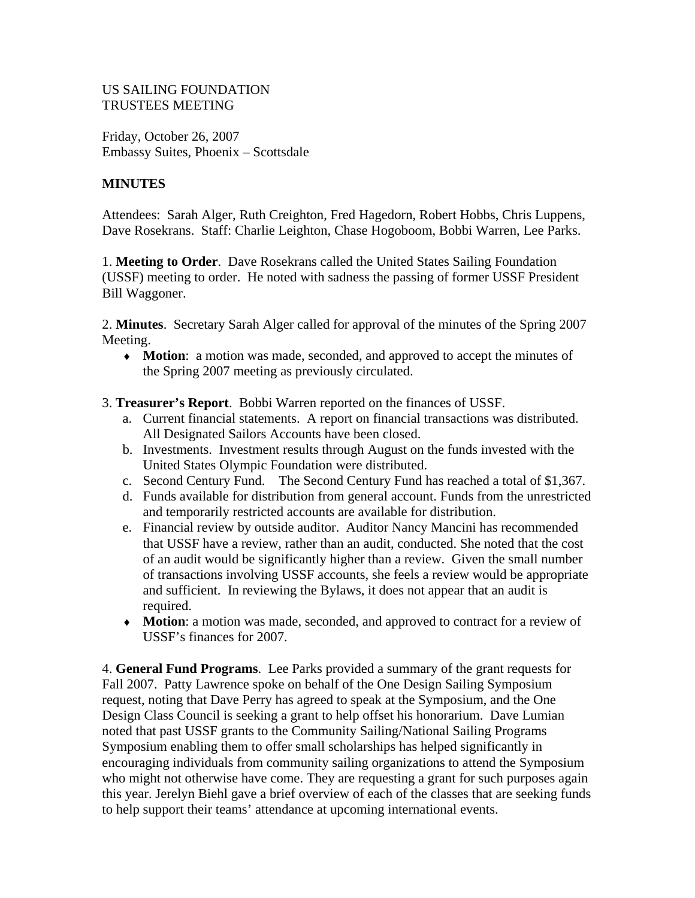#### US SAILING FOUNDATION TRUSTEES MEETING

Friday, October 26, 2007 Embassy Suites, Phoenix – Scottsdale

#### **MINUTES**

Attendees: Sarah Alger, Ruth Creighton, Fred Hagedorn, Robert Hobbs, Chris Luppens, Dave Rosekrans. Staff: Charlie Leighton, Chase Hogoboom, Bobbi Warren, Lee Parks.

1. **Meeting to Order**. Dave Rosekrans called the United States Sailing Foundation (USSF) meeting to order. He noted with sadness the passing of former USSF President Bill Waggoner.

2. **Minutes**. Secretary Sarah Alger called for approval of the minutes of the Spring 2007 Meeting.

- ♦ **Motion**: a motion was made, seconded, and approved to accept the minutes of the Spring 2007 meeting as previously circulated.
- 3. **Treasurer's Report**. Bobbi Warren reported on the finances of USSF.
	- a. Current financial statements. A report on financial transactions was distributed. All Designated Sailors Accounts have been closed.
	- b. Investments. Investment results through August on the funds invested with the United States Olympic Foundation were distributed.
	- c. Second Century Fund. The Second Century Fund has reached a total of \$1,367.
	- d. Funds available for distribution from general account. Funds from the unrestricted and temporarily restricted accounts are available for distribution.
	- e. Financial review by outside auditor. Auditor Nancy Mancini has recommended that USSF have a review, rather than an audit, conducted. She noted that the cost of an audit would be significantly higher than a review. Given the small number of transactions involving USSF accounts, she feels a review would be appropriate and sufficient. In reviewing the Bylaws, it does not appear that an audit is required.
	- ♦ **Motion**: a motion was made, seconded, and approved to contract for a review of USSF's finances for 2007.

4. **General Fund Programs**. Lee Parks provided a summary of the grant requests for Fall 2007. Patty Lawrence spoke on behalf of the One Design Sailing Symposium request, noting that Dave Perry has agreed to speak at the Symposium, and the One Design Class Council is seeking a grant to help offset his honorarium. Dave Lumian noted that past USSF grants to the Community Sailing/National Sailing Programs Symposium enabling them to offer small scholarships has helped significantly in encouraging individuals from community sailing organizations to attend the Symposium who might not otherwise have come. They are requesting a grant for such purposes again this year. Jerelyn Biehl gave a brief overview of each of the classes that are seeking funds to help support their teams' attendance at upcoming international events.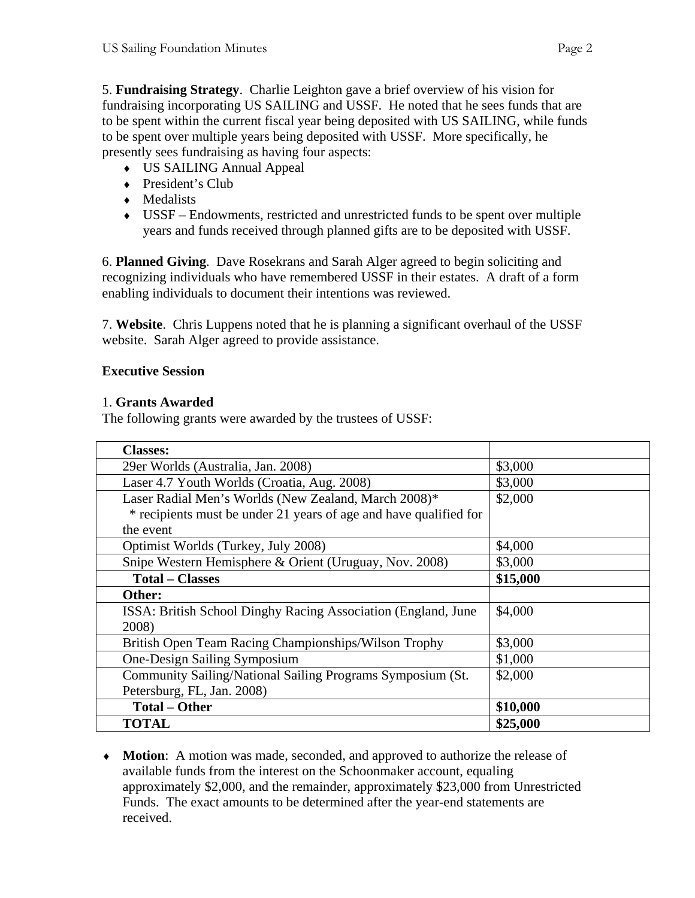5. **Fundraising Strategy**. Charlie Leighton gave a brief overview of his vision for fundraising incorporating US SAILING and USSF. He noted that he sees funds that are to be spent within the current fiscal year being deposited with US SAILING, while funds to be spent over multiple years being deposited with USSF. More specifically, he presently sees fundraising as having four aspects:

- ♦ US SAILING Annual Appeal
- ◆ President's Club
- ♦ Medalists
- ♦ USSF Endowments, restricted and unrestricted funds to be spent over multiple years and funds received through planned gifts are to be deposited with USSF.

6. **Planned Giving**. Dave Rosekrans and Sarah Alger agreed to begin soliciting and recognizing individuals who have remembered USSF in their estates. A draft of a form enabling individuals to document their intentions was reviewed.

7. **Website**. Chris Luppens noted that he is planning a significant overhaul of the USSF website. Sarah Alger agreed to provide assistance.

# **Executive Session**

### 1. **Grants Awarded**

The following grants were awarded by the trustees of USSF:

| <b>Classes:</b>                                                   |          |
|-------------------------------------------------------------------|----------|
| 29er Worlds (Australia, Jan. 2008)                                | \$3,000  |
| Laser 4.7 Youth Worlds (Croatia, Aug. 2008)                       | \$3,000  |
| Laser Radial Men's Worlds (New Zealand, March 2008)*              | \$2,000  |
| * recipients must be under 21 years of age and have qualified for |          |
| the event                                                         |          |
| Optimist Worlds (Turkey, July 2008)                               | \$4,000  |
| Snipe Western Hemisphere & Orient (Uruguay, Nov. 2008)            | \$3,000  |
| <b>Total – Classes</b>                                            | \$15,000 |
| Other:                                                            |          |
| ISSA: British School Dinghy Racing Association (England, June     | \$4,000  |
| 2008)                                                             |          |
| British Open Team Racing Championships/Wilson Trophy              | \$3,000  |
| One-Design Sailing Symposium                                      | \$1,000  |
| Community Sailing/National Sailing Programs Symposium (St.        | \$2,000  |
| Petersburg, FL, Jan. 2008)                                        |          |
| <b>Total - Other</b>                                              | \$10,000 |
| <b>TOTAL</b>                                                      | \$25,000 |

♦ **Motion**: A motion was made, seconded, and approved to authorize the release of available funds from the interest on the Schoonmaker account, equaling approximately \$2,000, and the remainder, approximately \$23,000 from Unrestricted Funds. The exact amounts to be determined after the year-end statements are received.